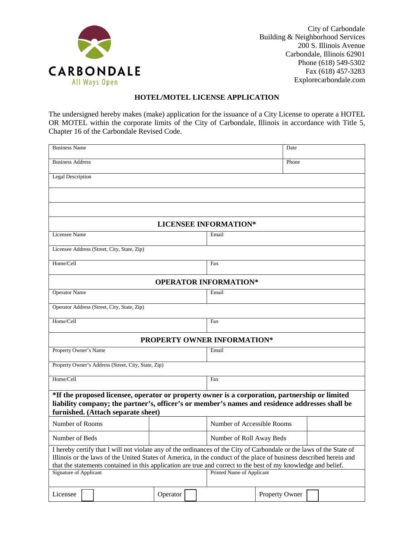

City of Carbondale Building & Neighborhood Services 200 S. Illinois Avenue Carbondale, Illinois 62901 Phone (618) 549-5302 Fax (618) 457-3283 Explorecarbondale.com

## **HOTEL/MOTEL LICENSE APPLICATION**

The undersigned hereby makes (make) application for the issuance of a City License to operate a HOTEL OR MOTEL within the corporate limits of the City of Carbondale, Illinois in accordance with Title 5, Chapter 16 of the Carbondale Revised Code.

| <b>Business Name</b>                                                                                                                                                                                                                                                                                                                                         |          |                            | Date                      |  |  |
|--------------------------------------------------------------------------------------------------------------------------------------------------------------------------------------------------------------------------------------------------------------------------------------------------------------------------------------------------------------|----------|----------------------------|---------------------------|--|--|
| <b>Business Address</b>                                                                                                                                                                                                                                                                                                                                      |          | Phone                      |                           |  |  |
| <b>Legal Description</b>                                                                                                                                                                                                                                                                                                                                     |          |                            |                           |  |  |
|                                                                                                                                                                                                                                                                                                                                                              |          |                            |                           |  |  |
|                                                                                                                                                                                                                                                                                                                                                              |          |                            |                           |  |  |
| <b>LICENSEE INFORMATION*</b>                                                                                                                                                                                                                                                                                                                                 |          |                            |                           |  |  |
| Licensee Name                                                                                                                                                                                                                                                                                                                                                |          | Email                      |                           |  |  |
| Licensee Address (Street, City, State, Zip)                                                                                                                                                                                                                                                                                                                  |          |                            |                           |  |  |
| Home/Cell                                                                                                                                                                                                                                                                                                                                                    |          | Fax                        |                           |  |  |
| <b>OPERATOR INFORMATION*</b>                                                                                                                                                                                                                                                                                                                                 |          |                            |                           |  |  |
| <b>Operator Name</b>                                                                                                                                                                                                                                                                                                                                         |          | Email                      |                           |  |  |
| Operator Address (Street, City, State, Zip)                                                                                                                                                                                                                                                                                                                  |          |                            |                           |  |  |
| Home/Cell                                                                                                                                                                                                                                                                                                                                                    |          | Fax                        |                           |  |  |
| PROPERTY OWNER INFORMATION*                                                                                                                                                                                                                                                                                                                                  |          |                            |                           |  |  |
| Property Owner's Name                                                                                                                                                                                                                                                                                                                                        |          | Email                      |                           |  |  |
| Property Owner's Address (Street, City, State, Zip)                                                                                                                                                                                                                                                                                                          |          |                            |                           |  |  |
| Home/Cell                                                                                                                                                                                                                                                                                                                                                    |          | Fax                        |                           |  |  |
| *If the proposed licensee, operator or property owner is a corporation, partnership or limited<br>liability company; the partner's, officer's or member's names and residence addresses shall be<br>furnished. (Attach separate sheet)                                                                                                                       |          |                            |                           |  |  |
| Number of Rooms                                                                                                                                                                                                                                                                                                                                              |          | Number of Accessible Rooms |                           |  |  |
| Number of Beds                                                                                                                                                                                                                                                                                                                                               |          | Number of Roll Away Beds   |                           |  |  |
| I hereby certify that I will not violate any of the ordinances of the City of Carbondale or the laws of the State of<br>Illinois or the laws of the United States of America, in the conduct of the place of business described herein and<br>that the statements contained in this application are true and correct to the best of my knowledge and belief. |          |                            |                           |  |  |
| <b>Signature of Applicant</b>                                                                                                                                                                                                                                                                                                                                |          |                            | Printed Name of Applicant |  |  |
| Licensee                                                                                                                                                                                                                                                                                                                                                     | Operator |                            | Property Owner            |  |  |